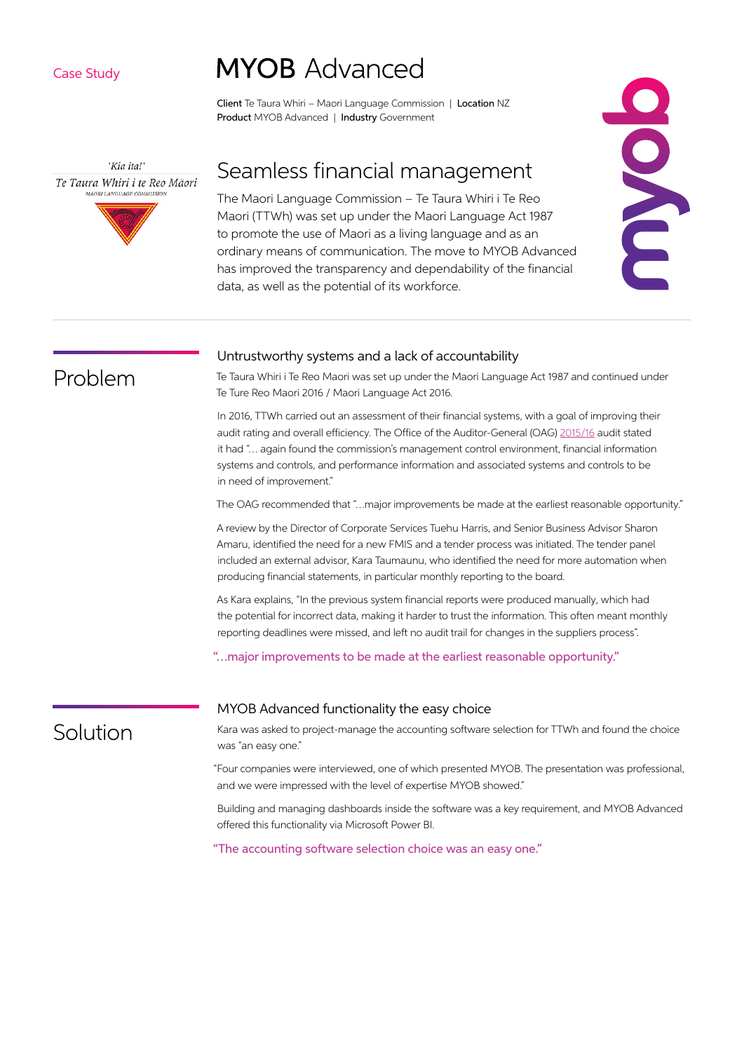Case Study

'Kia ita!' Te Taura Whiri i te Reo Māori **MÃORI LANGUAGE COMMISSIO** 

# **MYOB** Advanced

Client Te Taura Whiri – Maori Language Commission | Location NZ Product MYOB Advanced | Industry Government

### Seamless financial management

The Maori Language Commission – Te Taura Whiri i Te Reo Maori (TTWh) was set up under the Maori Language Act 1987 to promote the use of Maori as a living language and as an ordinary means of communication. The move to MYOB Advanced has improved the transparency and dependability of the financial data, as well as the potential of its workforce.



Problem

#### Untrustworthy systems and a lack of accountability

Te Taura Whiri i Te Reo Maori was set up under the Maori Language Act 1987 and continued under Te Ture Reo Maori 2016 / Maori Language Act 2016.

In 2016, TTWh carried out an assessment of their financial systems, with a goal of improving their audit rating and overall efficiency. The Office of the Auditor-General (OAG) [2015/16](https://www.parliament.nz/en/pb/sc/business-before-committees/document/00DBSCH_ANR_72162_1/201516-te-taura-whiri-i-te-reo-m%C4%81ori-maori-language-commission) audit stated it had "… again found the commission's management control environment, financial information systems and controls, and performance information and associated systems and controls to be in need of improvement."

The OAG recommended that "…major improvements be made at the earliest reasonable opportunity."

A review by the Director of Corporate Services Tuehu Harris, and Senior Business Advisor Sharon Amaru, identified the need for a new FMIS and a tender process was initiated. The tender panel included an external advisor, Kara Taumaunu, who identified the need for more automation when producing financial statements, in particular monthly reporting to the board.

As Kara explains, "In the previous system financial reports were produced manually, which had the potential for incorrect data, making it harder to trust the information. This often meant monthly reporting deadlines were missed, and left no audit trail for changes in the suppliers process".

"…major improvements to be made at the earliest reasonable opportunity."

## Solution

#### MYOB Advanced functionality the easy choice

Kara was asked to project-manage the accounting software selection for TTWh and found the choice was "an easy one."

"Four companies were interviewed, one of which presented MYOB. The presentation was professional, and we were impressed with the level of expertise MYOB showed."

Building and managing dashboards inside the software was a key requirement, and MYOB Advanced offered this functionality via Microsoft Power BI.

"The accounting software selection choice was an easy one."